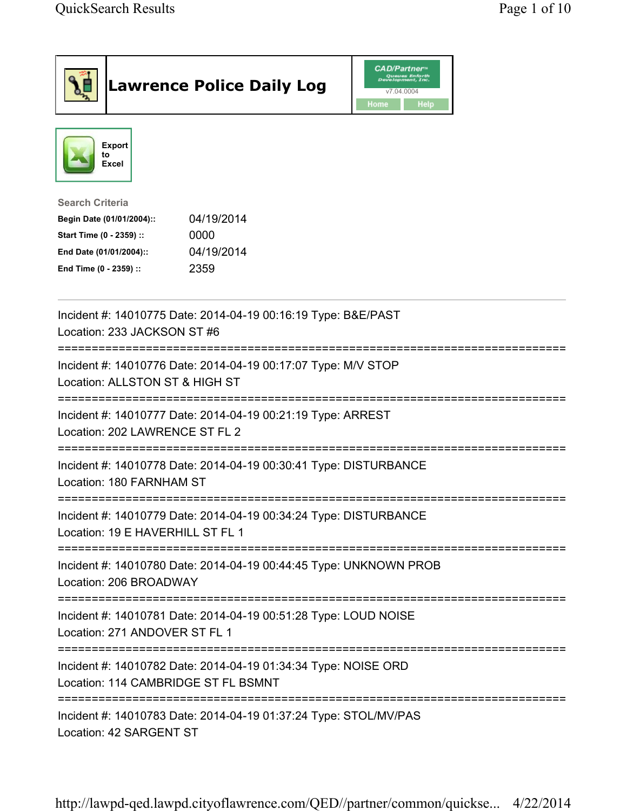|                                                                                                                                      | <b>Lawrence Police Daily Log</b>                                  | <b>CAD/Partner</b> "<br>Queues Enforth<br>Development, Inc.<br>v7.04.0004<br>Home<br><b>Help</b> |  |
|--------------------------------------------------------------------------------------------------------------------------------------|-------------------------------------------------------------------|--------------------------------------------------------------------------------------------------|--|
| <b>Export</b><br>to<br>Excel                                                                                                         |                                                                   |                                                                                                  |  |
| <b>Search Criteria</b><br>Begin Date (01/01/2004)::<br>Start Time (0 - 2359) ::<br>End Date (01/01/2004)::<br>End Time (0 - 2359) :: | 04/19/2014<br>0000<br>04/19/2014<br>2359                          |                                                                                                  |  |
| Location: 233 JACKSON ST #6                                                                                                          | Incident #: 14010775 Date: 2014-04-19 00:16:19 Type: B&E/PAST     |                                                                                                  |  |
| ================================<br>Location: ALLSTON ST & HIGH ST                                                                   | Incident #: 14010776 Date: 2014-04-19 00:17:07 Type: M/V STOP     |                                                                                                  |  |
| Location: 202 LAWRENCE ST FL 2                                                                                                       | Incident #: 14010777 Date: 2014-04-19 00:21:19 Type: ARREST       |                                                                                                  |  |
| Location: 180 FARNHAM ST                                                                                                             | Incident #: 14010778 Date: 2014-04-19 00:30:41 Type: DISTURBANCE  |                                                                                                  |  |
| Location: 19 E HAVERHILL ST FL 1                                                                                                     | Incident #: 14010779 Date: 2014-04-19 00:34:24 Type: DISTURBANCE  |                                                                                                  |  |
| Location: 206 BROADWAY                                                                                                               | Incident #: 14010780 Date: 2014-04-19 00:44:45 Type: UNKNOWN PROB |                                                                                                  |  |
| Location: 271 ANDOVER ST FL 1                                                                                                        | Incident #: 14010781 Date: 2014-04-19 00:51:28 Type: LOUD NOISE   |                                                                                                  |  |
| Incident #: 14010782 Date: 2014-04-19 01:34:34 Type: NOISE ORD<br>Location: 114 CAMBRIDGE ST FL BSMNT                                |                                                                   |                                                                                                  |  |
| Location: 42 SARGENT ST                                                                                                              | Incident #: 14010783 Date: 2014-04-19 01:37:24 Type: STOL/MV/PAS  |                                                                                                  |  |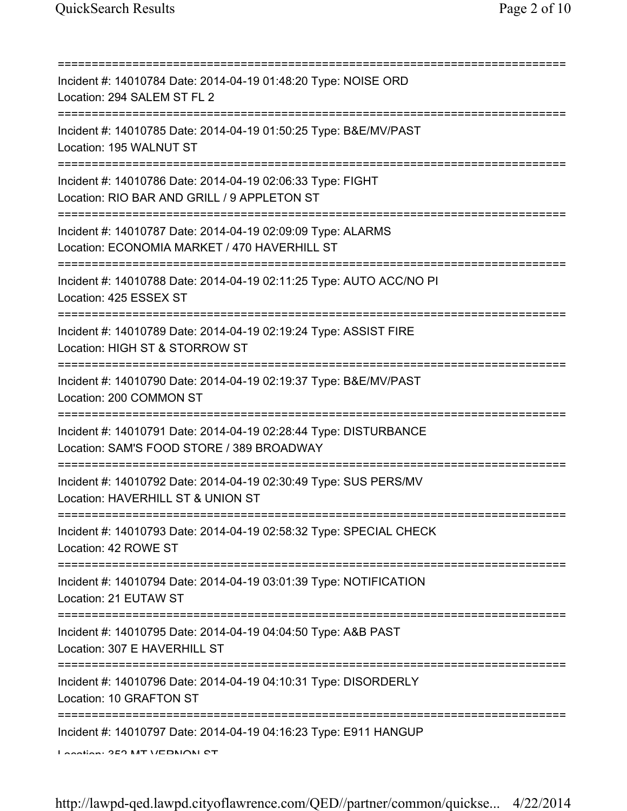| Incident #: 14010784 Date: 2014-04-19 01:48:20 Type: NOISE ORD<br>Location: 294 SALEM ST FL 2                                        |
|--------------------------------------------------------------------------------------------------------------------------------------|
| Incident #: 14010785 Date: 2014-04-19 01:50:25 Type: B&E/MV/PAST<br>Location: 195 WALNUT ST                                          |
| Incident #: 14010786 Date: 2014-04-19 02:06:33 Type: FIGHT<br>Location: RIO BAR AND GRILL / 9 APPLETON ST                            |
| Incident #: 14010787 Date: 2014-04-19 02:09:09 Type: ALARMS<br>Location: ECONOMIA MARKET / 470 HAVERHILL ST                          |
| Incident #: 14010788 Date: 2014-04-19 02:11:25 Type: AUTO ACC/NO PI<br>Location: 425 ESSEX ST                                        |
| Incident #: 14010789 Date: 2014-04-19 02:19:24 Type: ASSIST FIRE<br>Location: HIGH ST & STORROW ST                                   |
| ======================<br>Incident #: 14010790 Date: 2014-04-19 02:19:37 Type: B&E/MV/PAST<br>Location: 200 COMMON ST                |
| Incident #: 14010791 Date: 2014-04-19 02:28:44 Type: DISTURBANCE<br>Location: SAM'S FOOD STORE / 389 BROADWAY                        |
| Incident #: 14010792 Date: 2014-04-19 02:30:49 Type: SUS PERS/MV<br>Location: HAVERHILL ST & UNION ST                                |
| Incident #: 14010793 Date: 2014-04-19 02:58:32 Type: SPECIAL CHECK<br>Location: 42 ROWE ST                                           |
| Incident #: 14010794 Date: 2014-04-19 03:01:39 Type: NOTIFICATION<br>Location: 21 EUTAW ST                                           |
| Incident #: 14010795 Date: 2014-04-19 04:04:50 Type: A&B PAST<br>Location: 307 E HAVERHILL ST                                        |
| ======================================<br>Incident #: 14010796 Date: 2014-04-19 04:10:31 Type: DISORDERLY<br>Location: 10 GRAFTON ST |
| Incident #: 14010797 Date: 2014-04-19 04:16:23 Type: E911 HANGUP<br>Lootion: 252 MT VEDMOM CT                                        |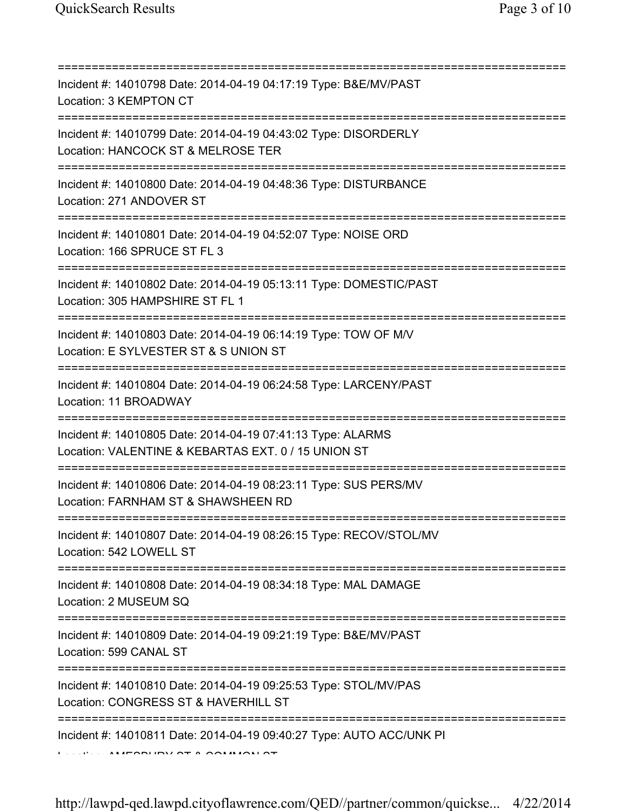| Incident #: 14010798 Date: 2014-04-19 04:17:19 Type: B&E/MV/PAST<br>Location: 3 KEMPTON CT                                                      |
|-------------------------------------------------------------------------------------------------------------------------------------------------|
| Incident #: 14010799 Date: 2014-04-19 04:43:02 Type: DISORDERLY<br>Location: HANCOCK ST & MELROSE TER<br>;===================================== |
| Incident #: 14010800 Date: 2014-04-19 04:48:36 Type: DISTURBANCE<br>Location: 271 ANDOVER ST                                                    |
| Incident #: 14010801 Date: 2014-04-19 04:52:07 Type: NOISE ORD<br>Location: 166 SPRUCE ST FL 3                                                  |
| Incident #: 14010802 Date: 2014-04-19 05:13:11 Type: DOMESTIC/PAST<br>Location: 305 HAMPSHIRE ST FL 1                                           |
| Incident #: 14010803 Date: 2014-04-19 06:14:19 Type: TOW OF M/V<br>Location: E SYLVESTER ST & S UNION ST                                        |
| Incident #: 14010804 Date: 2014-04-19 06:24:58 Type: LARCENY/PAST<br>Location: 11 BROADWAY                                                      |
| Incident #: 14010805 Date: 2014-04-19 07:41:13 Type: ALARMS<br>Location: VALENTINE & KEBARTAS EXT. 0 / 15 UNION ST                              |
| Incident #: 14010806 Date: 2014-04-19 08:23:11 Type: SUS PERS/MV<br>Location: FARNHAM ST & SHAWSHEEN RD                                         |
| Incident #: 14010807 Date: 2014-04-19 08:26:15 Type: RECOV/STOL/MV<br>Location: 542 LOWELL ST                                                   |
| Incident #: 14010808 Date: 2014-04-19 08:34:18 Type: MAL DAMAGE<br>Location: 2 MUSEUM SQ                                                        |
| Incident #: 14010809 Date: 2014-04-19 09:21:19 Type: B&E/MV/PAST<br>Location: 599 CANAL ST                                                      |
| Incident #: 14010810 Date: 2014-04-19 09:25:53 Type: STOL/MV/PAS<br>Location: CONGRESS ST & HAVERHILL ST                                        |
| Incident #: 14010811 Date: 2014-04-19 09:40:27 Type: AUTO ACC/UNK PI                                                                            |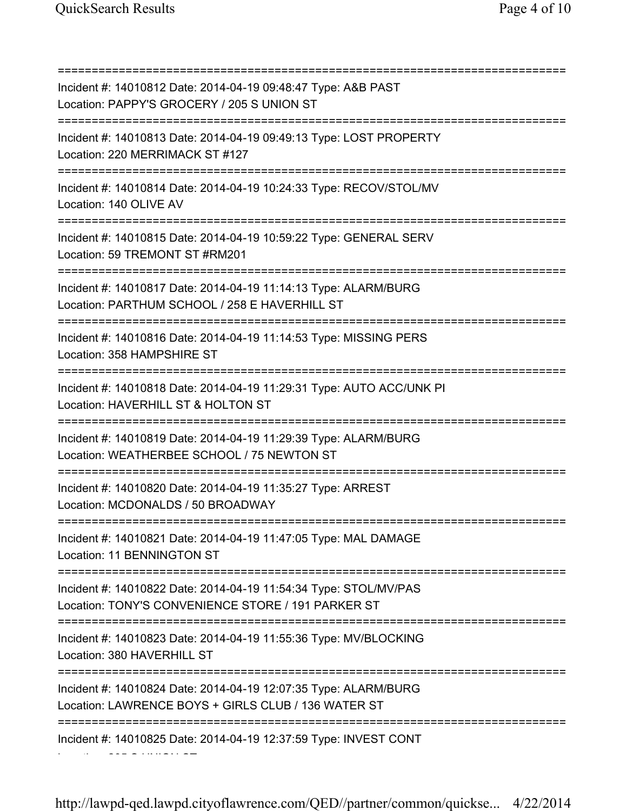=========================================================================== Incident #: 14010812 Date: 2014-04-19 09:48:47 Type: A&B PAST Location: PAPPY'S GROCERY / 205 S UNION ST =========================================================================== Incident #: 14010813 Date: 2014-04-19 09:49:13 Type: LOST PROPERTY Location: 220 MERRIMACK ST #127 =========================================================================== Incident #: 14010814 Date: 2014-04-19 10:24:33 Type: RECOV/STOL/MV Location: 140 OLIVE AV =========================================================================== Incident #: 14010815 Date: 2014-04-19 10:59:22 Type: GENERAL SERV Location: 59 TREMONT ST #RM201 =========================================================================== Incident #: 14010817 Date: 2014-04-19 11:14:13 Type: ALARM/BURG Location: PARTHUM SCHOOL / 258 E HAVERHILL ST =========================================================================== Incident #: 14010816 Date: 2014-04-19 11:14:53 Type: MISSING PERS Location: 358 HAMPSHIRE ST =========================================================================== Incident #: 14010818 Date: 2014-04-19 11:29:31 Type: AUTO ACC/UNK PI Location: HAVERHILL ST & HOLTON ST =========================================================================== Incident #: 14010819 Date: 2014-04-19 11:29:39 Type: ALARM/BURG Location: WEATHERBEE SCHOOL / 75 NEWTON ST =========================================================================== Incident #: 14010820 Date: 2014-04-19 11:35:27 Type: ARREST Location: MCDONALDS / 50 BROADWAY =========================================================================== Incident #: 14010821 Date: 2014-04-19 11:47:05 Type: MAL DAMAGE Location: 11 BENNINGTON ST =========================================================================== Incident #: 14010822 Date: 2014-04-19 11:54:34 Type: STOL/MV/PAS Location: TONY'S CONVENIENCE STORE / 191 PARKER ST =========================================================================== Incident #: 14010823 Date: 2014-04-19 11:55:36 Type: MV/BLOCKING Location: 380 HAVERHILL ST =========================================================================== Incident #: 14010824 Date: 2014-04-19 12:07:35 Type: ALARM/BURG Location: LAWRENCE BOYS + GIRLS CLUB / 136 WATER ST =========================================================================== Incident #: 14010825 Date: 2014-04-19 12:37:59 Type: INVEST CONT Location: 205 S UNION ST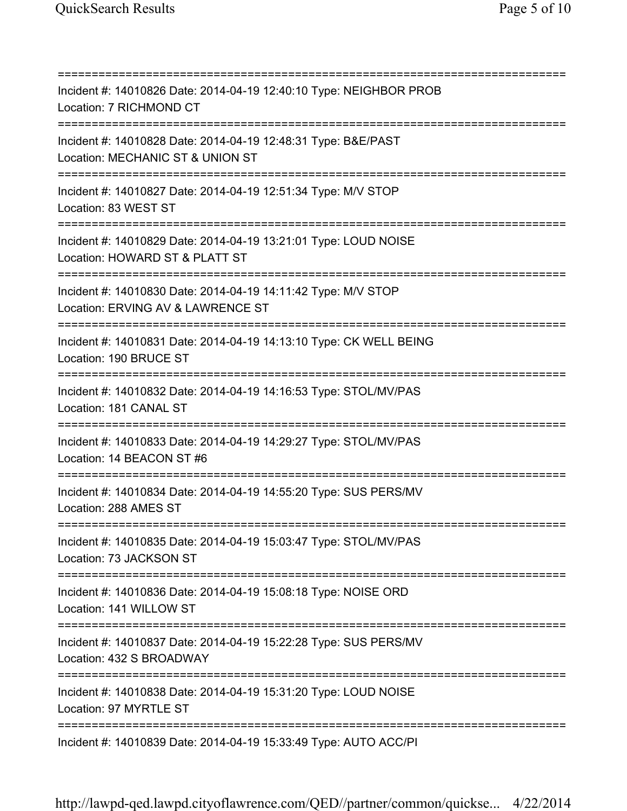=========================================================================== Incident #: 14010826 Date: 2014-04-19 12:40:10 Type: NEIGHBOR PROB Location: 7 RICHMOND CT =========================================================================== Incident #: 14010828 Date: 2014-04-19 12:48:31 Type: B&E/PAST Location: MECHANIC ST & UNION ST =========================================================================== Incident #: 14010827 Date: 2014-04-19 12:51:34 Type: M/V STOP Location: 83 WEST ST =========================================================================== Incident #: 14010829 Date: 2014-04-19 13:21:01 Type: LOUD NOISE Location: HOWARD ST & PLATT ST =========================================================================== Incident #: 14010830 Date: 2014-04-19 14:11:42 Type: M/V STOP Location: ERVING AV & LAWRENCE ST =========================================================================== Incident #: 14010831 Date: 2014-04-19 14:13:10 Type: CK WELL BEING Location: 190 BRUCE ST =========================================================================== Incident #: 14010832 Date: 2014-04-19 14:16:53 Type: STOL/MV/PAS Location: 181 CANAL ST =========================================================================== Incident #: 14010833 Date: 2014-04-19 14:29:27 Type: STOL/MV/PAS Location: 14 BEACON ST #6 =========================================================================== Incident #: 14010834 Date: 2014-04-19 14:55:20 Type: SUS PERS/MV Location: 288 AMES ST =========================================================================== Incident #: 14010835 Date: 2014-04-19 15:03:47 Type: STOL/MV/PAS Location: 73 JACKSON ST =========================================================================== Incident #: 14010836 Date: 2014-04-19 15:08:18 Type: NOISE ORD Location: 141 WILLOW ST =========================================================================== Incident #: 14010837 Date: 2014-04-19 15:22:28 Type: SUS PERS/MV Location: 432 S BROADWAY =========================================================================== Incident #: 14010838 Date: 2014-04-19 15:31:20 Type: LOUD NOISE Location: 97 MYRTLE ST =========================================================================== Incident #: 14010839 Date: 2014-04-19 15:33:49 Type: AUTO ACC/PI

http://lawpd-qed.lawpd.cityoflawrence.com/QED//partner/common/quickse... 4/22/2014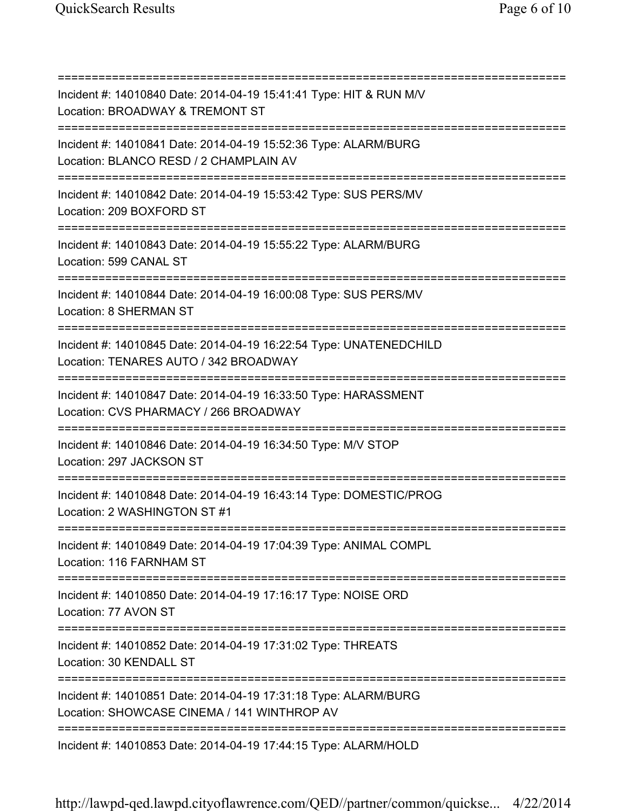| Incident #: 14010840 Date: 2014-04-19 15:41:41 Type: HIT & RUN M/V<br>Location: BROADWAY & TREMONT ST                                   |
|-----------------------------------------------------------------------------------------------------------------------------------------|
| Incident #: 14010841 Date: 2014-04-19 15:52:36 Type: ALARM/BURG<br>Location: BLANCO RESD / 2 CHAMPLAIN AV<br>========================   |
| Incident #: 14010842 Date: 2014-04-19 15:53:42 Type: SUS PERS/MV<br>Location: 209 BOXFORD ST                                            |
| Incident #: 14010843 Date: 2014-04-19 15:55:22 Type: ALARM/BURG<br>Location: 599 CANAL ST                                               |
| Incident #: 14010844 Date: 2014-04-19 16:00:08 Type: SUS PERS/MV<br><b>Location: 8 SHERMAN ST</b>                                       |
| Incident #: 14010845 Date: 2014-04-19 16:22:54 Type: UNATENEDCHILD<br>Location: TENARES AUTO / 342 BROADWAY                             |
| Incident #: 14010847 Date: 2014-04-19 16:33:50 Type: HARASSMENT<br>Location: CVS PHARMACY / 266 BROADWAY<br>=========================== |
| Incident #: 14010846 Date: 2014-04-19 16:34:50 Type: M/V STOP<br>Location: 297 JACKSON ST                                               |
| =========================<br>Incident #: 14010848 Date: 2014-04-19 16:43:14 Type: DOMESTIC/PROG<br>Location: 2 WASHINGTON ST #1         |
| Incident #: 14010849 Date: 2014-04-19 17:04:39 Type: ANIMAL COMPL<br>Location: 116 FARNHAM ST                                           |
| Incident #: 14010850 Date: 2014-04-19 17:16:17 Type: NOISE ORD<br>Location: 77 AVON ST                                                  |
| Incident #: 14010852 Date: 2014-04-19 17:31:02 Type: THREATS<br>Location: 30 KENDALL ST                                                 |
| Incident #: 14010851 Date: 2014-04-19 17:31:18 Type: ALARM/BURG<br>Location: SHOWCASE CINEMA / 141 WINTHROP AV                          |
| Incident #: 14010853 Date: 2014-04-19 17:44:15 Type: ALARM/HOLD                                                                         |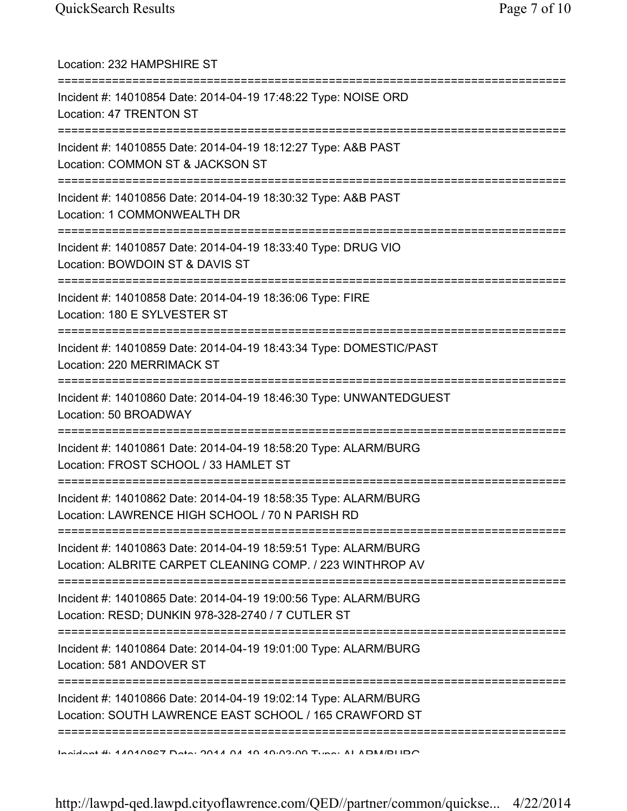| Location: 232 HAMPSHIRE ST                                                                                                   |
|------------------------------------------------------------------------------------------------------------------------------|
| Incident #: 14010854 Date: 2014-04-19 17:48:22 Type: NOISE ORD<br>Location: 47 TRENTON ST                                    |
| Incident #: 14010855 Date: 2014-04-19 18:12:27 Type: A&B PAST<br>Location: COMMON ST & JACKSON ST                            |
| Incident #: 14010856 Date: 2014-04-19 18:30:32 Type: A&B PAST<br>Location: 1 COMMONWEALTH DR                                 |
| Incident #: 14010857 Date: 2014-04-19 18:33:40 Type: DRUG VIO<br>Location: BOWDOIN ST & DAVIS ST                             |
| Incident #: 14010858 Date: 2014-04-19 18:36:06 Type: FIRE<br>Location: 180 E SYLVESTER ST                                    |
| Incident #: 14010859 Date: 2014-04-19 18:43:34 Type: DOMESTIC/PAST<br>Location: 220 MERRIMACK ST                             |
| Incident #: 14010860 Date: 2014-04-19 18:46:30 Type: UNWANTEDGUEST<br>Location: 50 BROADWAY                                  |
| Incident #: 14010861 Date: 2014-04-19 18:58:20 Type: ALARM/BURG<br>Location: FROST SCHOOL / 33 HAMLET ST                     |
| Incident #: 14010862 Date: 2014-04-19 18:58:35 Type: ALARM/BURG<br>Location: LAWRENCE HIGH SCHOOL / 70 N PARISH RD           |
| Incident #: 14010863 Date: 2014-04-19 18:59:51 Type: ALARM/BURG<br>Location: ALBRITE CARPET CLEANING COMP. / 223 WINTHROP AV |
| Incident #: 14010865 Date: 2014-04-19 19:00:56 Type: ALARM/BURG<br>Location: RESD; DUNKIN 978-328-2740 / 7 CUTLER ST         |
| Incident #: 14010864 Date: 2014-04-19 19:01:00 Type: ALARM/BURG<br>Location: 581 ANDOVER ST                                  |
| Incident #: 14010866 Date: 2014-04-19 19:02:14 Type: ALARM/BURG<br>Location: SOUTH LAWRENCE EAST SCHOOL / 165 CRAWFORD ST    |
| <u>Indidant #: 14040027 Deta: 2014 04 10 10:02:00 Tuna: ALADM/DLIDO</u>                                                      |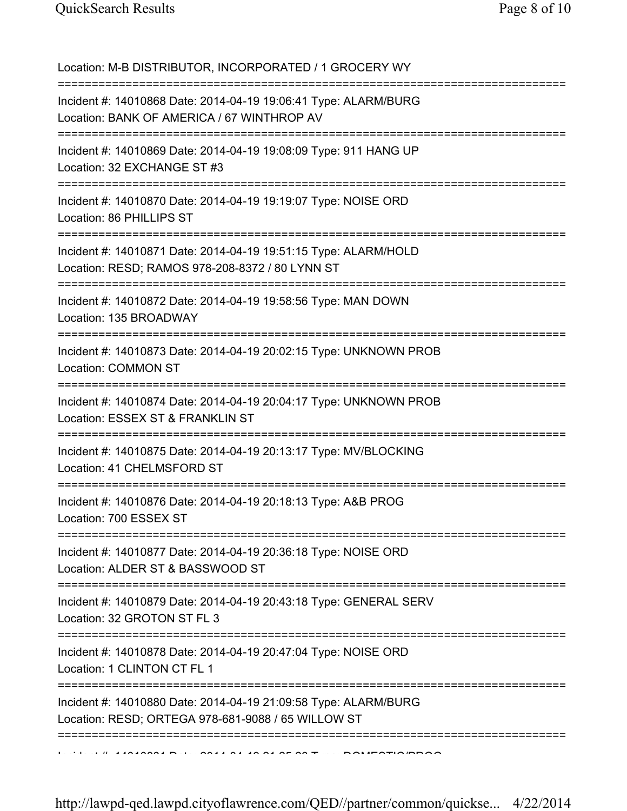Location: M-B DISTRIBUTOR, INCORPORATED / 1 GROCERY WY =========================================================================== Incident #: 14010868 Date: 2014-04-19 19:06:41 Type: ALARM/BURG Location: BANK OF AMERICA / 67 WINTHROP AV =========================================================================== Incident #: 14010869 Date: 2014-04-19 19:08:09 Type: 911 HANG UP Location: 32 EXCHANGE ST #3 =========================================================================== Incident #: 14010870 Date: 2014-04-19 19:19:07 Type: NOISE ORD Location: 86 PHILLIPS ST =========================================================================== Incident #: 14010871 Date: 2014-04-19 19:51:15 Type: ALARM/HOLD Location: RESD; RAMOS 978-208-8372 / 80 LYNN ST =========================================================================== Incident #: 14010872 Date: 2014-04-19 19:58:56 Type: MAN DOWN Location: 135 BROADWAY =========================================================================== Incident #: 14010873 Date: 2014-04-19 20:02:15 Type: UNKNOWN PROB Location: COMMON ST =========================================================================== Incident #: 14010874 Date: 2014-04-19 20:04:17 Type: UNKNOWN PROB Location: ESSEX ST & FRANKLIN ST =========================================================================== Incident #: 14010875 Date: 2014-04-19 20:13:17 Type: MV/BLOCKING Location: 41 CHELMSFORD ST =========================================================================== Incident #: 14010876 Date: 2014-04-19 20:18:13 Type: A&B PROG Location: 700 ESSEX ST =========================================================================== Incident #: 14010877 Date: 2014-04-19 20:36:18 Type: NOISE ORD Location: ALDER ST & BASSWOOD ST =========================================================================== Incident #: 14010879 Date: 2014-04-19 20:43:18 Type: GENERAL SERV Location: 32 GROTON ST FL 3 =========================================================================== Incident #: 14010878 Date: 2014-04-19 20:47:04 Type: NOISE ORD Location: 1 CLINTON CT FL 1 =========================================================================== Incident #: 14010880 Date: 2014-04-19 21:09:58 Type: ALARM/BURG Location: RESD; ORTEGA 978-681-9088 / 65 WILLOW ST ===========================================================================  $11.41010001$  Dete: 2014 04 10 04 25:26 Type: DOMESTIC/PDOG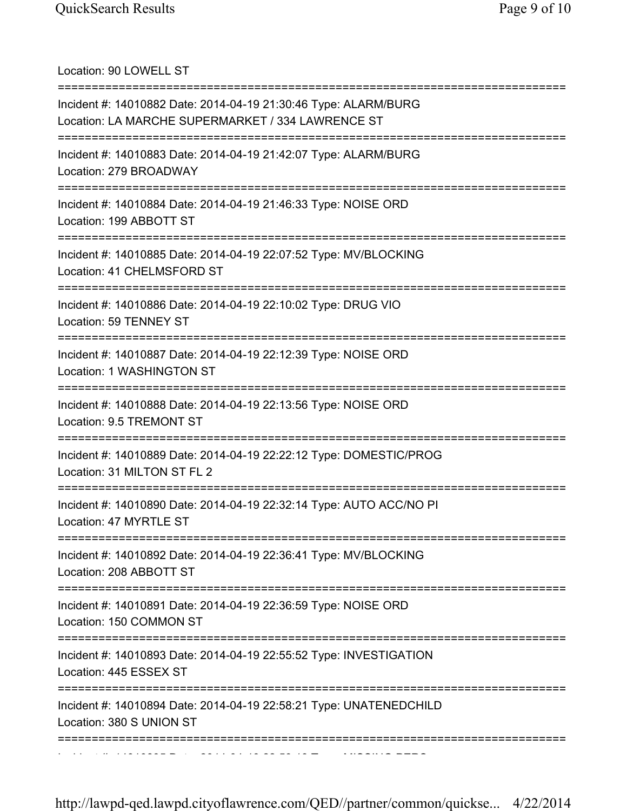Location: 90 LOWELL ST =========================================================================== Incident #: 14010882 Date: 2014-04-19 21:30:46 Type: ALARM/BURG Location: LA MARCHE SUPERMARKET / 334 LAWRENCE ST =========================================================================== Incident #: 14010883 Date: 2014-04-19 21:42:07 Type: ALARM/BURG Location: 279 BROADWAY =========================================================================== Incident #: 14010884 Date: 2014-04-19 21:46:33 Type: NOISE ORD Location: 199 ABBOTT ST =========================================================================== Incident #: 14010885 Date: 2014-04-19 22:07:52 Type: MV/BLOCKING Location: 41 CHELMSFORD ST =========================================================================== Incident #: 14010886 Date: 2014-04-19 22:10:02 Type: DRUG VIO Location: 59 TENNEY ST =========================================================================== Incident #: 14010887 Date: 2014-04-19 22:12:39 Type: NOISE ORD Location: 1 WASHINGTON ST =========================================================================== Incident #: 14010888 Date: 2014-04-19 22:13:56 Type: NOISE ORD Location: 9.5 TREMONT ST =========================================================================== Incident #: 14010889 Date: 2014-04-19 22:22:12 Type: DOMESTIC/PROG Location: 31 MILTON ST FL 2 =========================================================================== Incident #: 14010890 Date: 2014-04-19 22:32:14 Type: AUTO ACC/NO PI Location: 47 MYRTLE ST =========================================================================== Incident #: 14010892 Date: 2014-04-19 22:36:41 Type: MV/BLOCKING Location: 208 ABBOTT ST =========================================================================== Incident #: 14010891 Date: 2014-04-19 22:36:59 Type: NOISE ORD Location: 150 COMMON ST =========================================================================== Incident #: 14010893 Date: 2014-04-19 22:55:52 Type: INVESTIGATION Location: 445 ESSEX ST =========================================================================== Incident #: 14010894 Date: 2014-04-19 22:58:21 Type: UNATENEDCHILD Location: 380 S UNION ST =========================================================================== Incident #: 14010895 Date: 2014 04 19 22:59:18 Type: MISSING PERS

http://lawpd-qed.lawpd.cityoflawrence.com/QED//partner/common/quickse... 4/22/2014